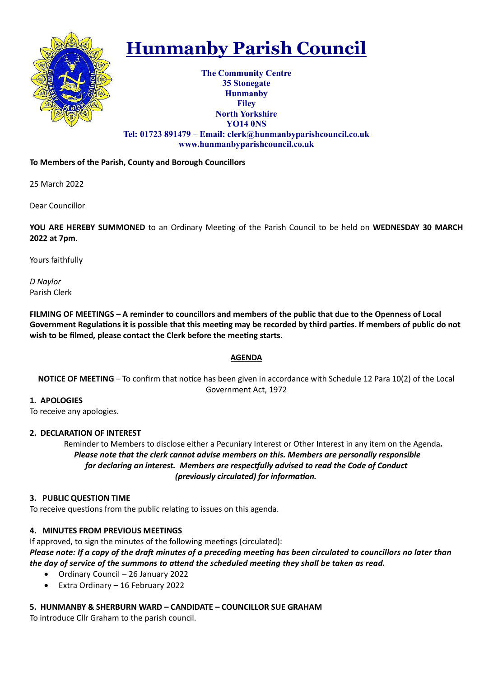

# Hunmanby Parish Council

The Community Centre 35 Stonegate Hunmanby Filey North Yorkshire YO14 0NS Tel: 01723 891479 – Email: clerk@hunmanbyparishcouncil.co.uk www.hunmanbyparishcouncil.co.uk

# To Members of the Parish, County and Borough Councillors

25 March 2022

Dear Councillor

YOU ARE HEREBY SUMMONED to an Ordinary Meeting of the Parish Council to be held on WEDNESDAY 30 MARCH 2022 at 7pm.

Yours faithfully

D Naylor Parish Clerk

FILMING OF MEETINGS – A reminder to councillors and members of the public that due to the Openness of Local Government Regulations it is possible that this meeting may be recorded by third parties. If members of public do not wish to be filmed, please contact the Clerk before the meeting starts.

# AGENDA

NOTICE OF MEETING – To confirm that notice has been given in accordance with Schedule 12 Para 10(2) of the Local Government Act, 1972

# 1. APOLOGIES

To receive any apologies.

# 2. DECLARATION OF INTEREST

 Reminder to Members to disclose either a Pecuniary Interest or Other Interest in any item on the Agenda. Please note that the clerk cannot advise members on this. Members are personally responsible for declaring an interest. Members are respectfully advised to read the Code of Conduct (previously circulated) for information.

# 3. PUBLIC QUESTION TIME

To receive questions from the public relating to issues on this agenda.

# 4. MINUTES FROM PREVIOUS MEETINGS

If approved, to sign the minutes of the following meetings (circulated): Please note: If a copy of the draft minutes of a preceding meeting has been circulated to councillors no later than the day of service of the summons to attend the scheduled meeting they shall be taken as read.

- Ordinary Council 26 January 2022
- Extra Ordinary 16 February 2022

# 5. HUNMANBY & SHERBURN WARD – CANDIDATE – COUNCILLOR SUE GRAHAM

To introduce Cllr Graham to the parish council.